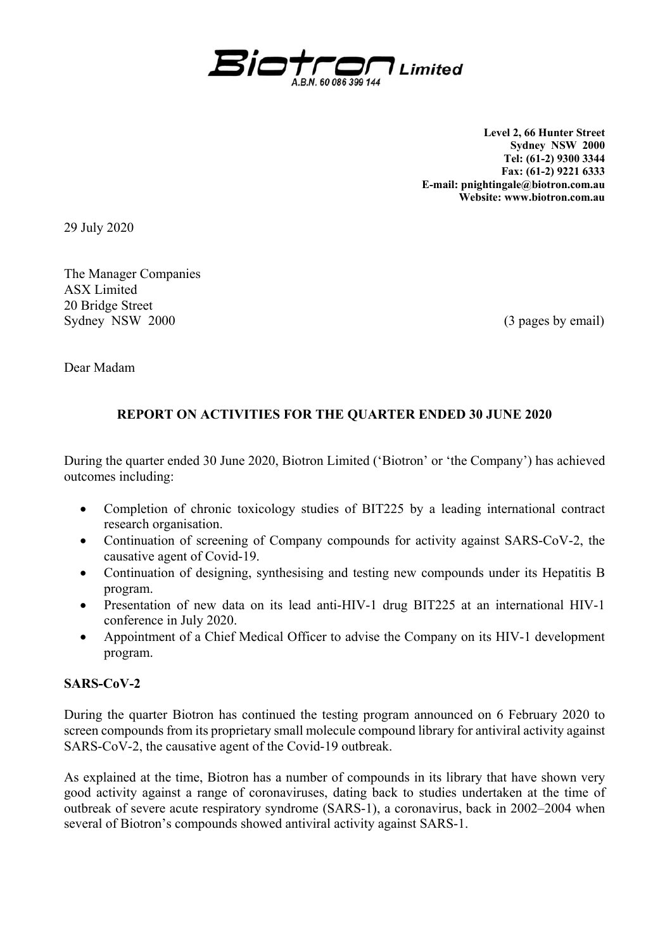

**Level 2, 66 Hunter Street Sydney NSW 2000 Tel: (61-2) 9300 3344 Fax: (61-2) 9221 6333 E-mail: pnightingale@biotron.com.au Website: www.biotron.com.au** 

29 July 2020

The Manager Companies ASX Limited 20 Bridge Street Sydney NSW 2000 (3 pages by email)

Dear Madam

## **REPORT ON ACTIVITIES FOR THE QUARTER ENDED 30 JUNE 2020**

During the quarter ended 30 June 2020, Biotron Limited ('Biotron' or 'the Company') has achieved outcomes including:

- Completion of chronic toxicology studies of BIT225 by a leading international contract research organisation.
- Continuation of screening of Company compounds for activity against SARS-CoV-2, the causative agent of Covid-19.
- Continuation of designing, synthesising and testing new compounds under its Hepatitis B program.
- Presentation of new data on its lead anti-HIV-1 drug BIT225 at an international HIV-1 conference in July 2020.
- Appointment of a Chief Medical Officer to advise the Company on its HIV-1 development program.

### **SARS-CoV-2**

During the quarter Biotron has continued the testing program announced on 6 February 2020 to screen compounds from its proprietary small molecule compound library for antiviral activity against SARS-CoV-2, the causative agent of the Covid-19 outbreak.

As explained at the time, Biotron has a number of compounds in its library that have shown very good activity against a range of coronaviruses, dating back to studies undertaken at the time of outbreak of severe acute respiratory syndrome (SARS-1), a coronavirus, back in 2002–2004 when several of Biotron's compounds showed antiviral activity against SARS-1.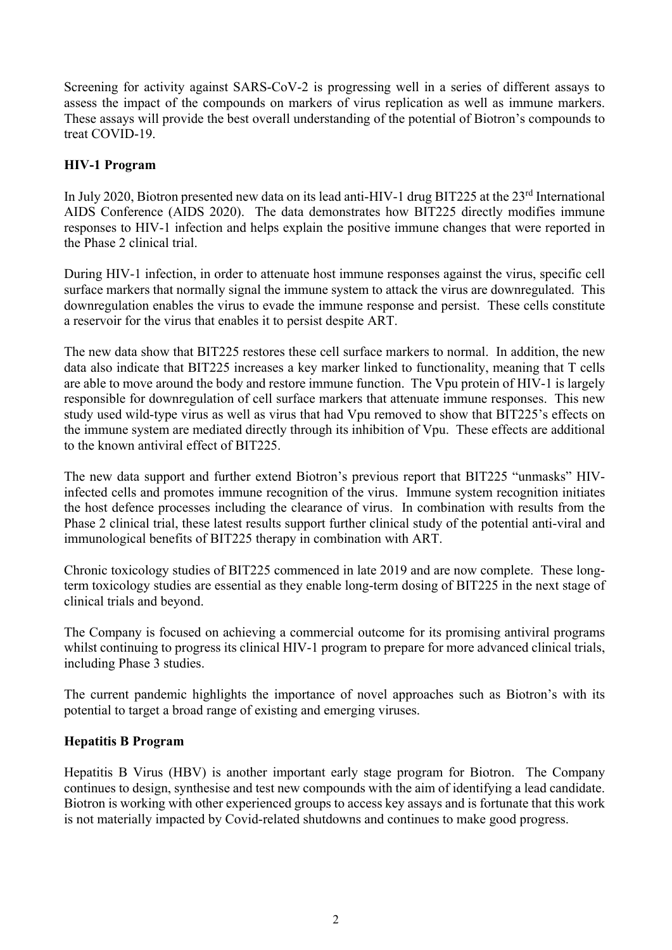Screening for activity against SARS-CoV-2 is progressing well in a series of different assays to assess the impact of the compounds on markers of virus replication as well as immune markers. These assays will provide the best overall understanding of the potential of Biotron's compounds to treat COVID-19.

## **HIV-1 Program**

In July 2020, Biotron presented new data on its lead anti-HIV-1 drug BIT225 at the 23<sup>rd</sup> International AIDS Conference (AIDS 2020). The data demonstrates how BIT225 directly modifies immune responses to HIV-1 infection and helps explain the positive immune changes that were reported in the Phase 2 clinical trial.

During HIV-1 infection, in order to attenuate host immune responses against the virus, specific cell surface markers that normally signal the immune system to attack the virus are downregulated. This downregulation enables the virus to evade the immune response and persist. These cells constitute a reservoir for the virus that enables it to persist despite ART.

The new data show that BIT225 restores these cell surface markers to normal. In addition, the new data also indicate that BIT225 increases a key marker linked to functionality, meaning that T cells are able to move around the body and restore immune function. The Vpu protein of HIV-1 is largely responsible for downregulation of cell surface markers that attenuate immune responses. This new study used wild-type virus as well as virus that had Vpu removed to show that BIT225's effects on the immune system are mediated directly through its inhibition of Vpu. These effects are additional to the known antiviral effect of BIT225.

The new data support and further extend Biotron's previous report that BIT225 "unmasks" HIVinfected cells and promotes immune recognition of the virus. Immune system recognition initiates the host defence processes including the clearance of virus. In combination with results from the Phase 2 clinical trial, these latest results support further clinical study of the potential anti-viral and immunological benefits of BIT225 therapy in combination with ART.

Chronic toxicology studies of BIT225 commenced in late 2019 and are now complete. These longterm toxicology studies are essential as they enable long-term dosing of BIT225 in the next stage of clinical trials and beyond.

The Company is focused on achieving a commercial outcome for its promising antiviral programs whilst continuing to progress its clinical HIV-1 program to prepare for more advanced clinical trials, including Phase 3 studies.

The current pandemic highlights the importance of novel approaches such as Biotron's with its potential to target a broad range of existing and emerging viruses.

### **Hepatitis B Program**

Hepatitis B Virus (HBV) is another important early stage program for Biotron. The Company continues to design, synthesise and test new compounds with the aim of identifying a lead candidate. Biotron is working with other experienced groups to access key assays and is fortunate that this work is not materially impacted by Covid-related shutdowns and continues to make good progress.